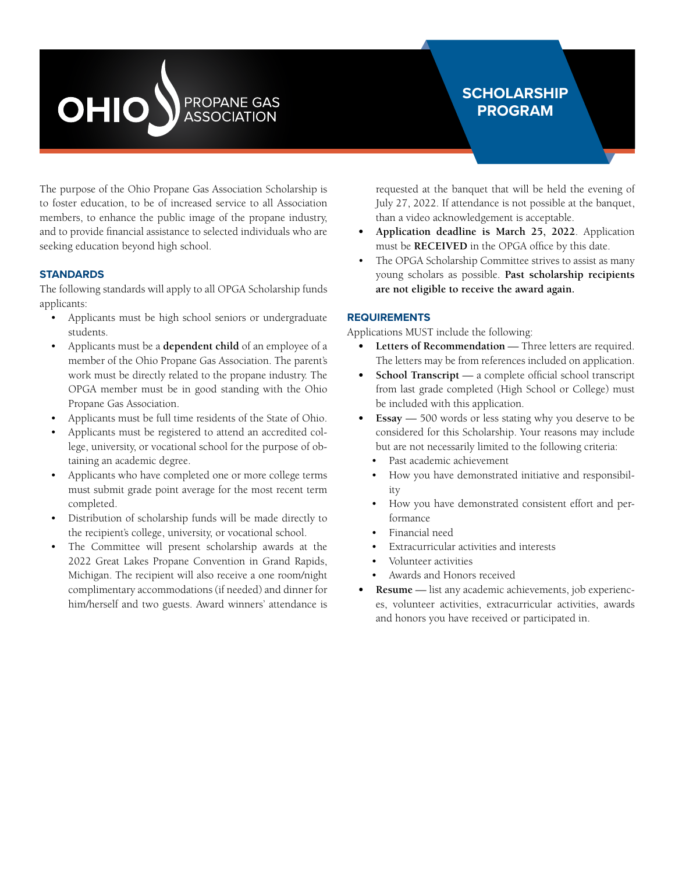# OHIO PROPANE GAS<br>ASSOCIATION

### **SCHOLARSHIP PROGRAM**

The purpose of the Ohio Propane Gas Association Scholarship is to foster education, to be of increased service to all Association members, to enhance the public image of the propane industry, and to provide financial assistance to selected individuals who are seeking education beyond high school.

#### **STANDARDS**

The following standards will apply to all OPGA Scholarship funds applicants:

- Applicants must be high school seniors or undergraduate students.
- Applicants must be a **dependent child** of an employee of a member of the Ohio Propane Gas Association. The parent's work must be directly related to the propane industry. The OPGA member must be in good standing with the Ohio Propane Gas Association.
- Applicants must be full time residents of the State of Ohio.
- Applicants must be registered to attend an accredited college, university, or vocational school for the purpose of obtaining an academic degree.
- Applicants who have completed one or more college terms must submit grade point average for the most recent term completed.
- Distribution of scholarship funds will be made directly to the recipient's college, university, or vocational school.
- The Committee will present scholarship awards at the 2022 Great Lakes Propane Convention in Grand Rapids, Michigan. The recipient will also receive a one room/night complimentary accommodations (if needed) and dinner for him/herself and two guests. Award winners' attendance is

requested at the banquet that will be held the evening of July 27, 2022. If attendance is not possible at the banquet, than a video acknowledgement is acceptable.

- **• Application deadline is March 25, 2022**. Application must be **RECEIVED** in the OPGA office by this date.
- The OPGA Scholarship Committee strives to assist as many young scholars as possible. **Past scholarship recipients are not eligible to receive the award again.**

#### **REQUIREMENTS**

Applications MUST include the following:

- **• Letters of Recommendation** Three letters are required. The letters may be from references included on application.
- **• School Transcript** a complete official school transcript from last grade completed (High School or College) must be included with this application.
- **Essay** 500 words or less stating why you deserve to be considered for this Scholarship. Your reasons may include but are not necessarily limited to the following criteria:
	- Past academic achievement
	- How you have demonstrated initiative and responsibility
	- How you have demonstrated consistent effort and performance
	- Financial need
	- Extracurricular activities and interests
	- Volunteer activities
	- Awards and Honors received
- **• Resume** list any academic achievements, job experiences, volunteer activities, extracurricular activities, awards and honors you have received or participated in.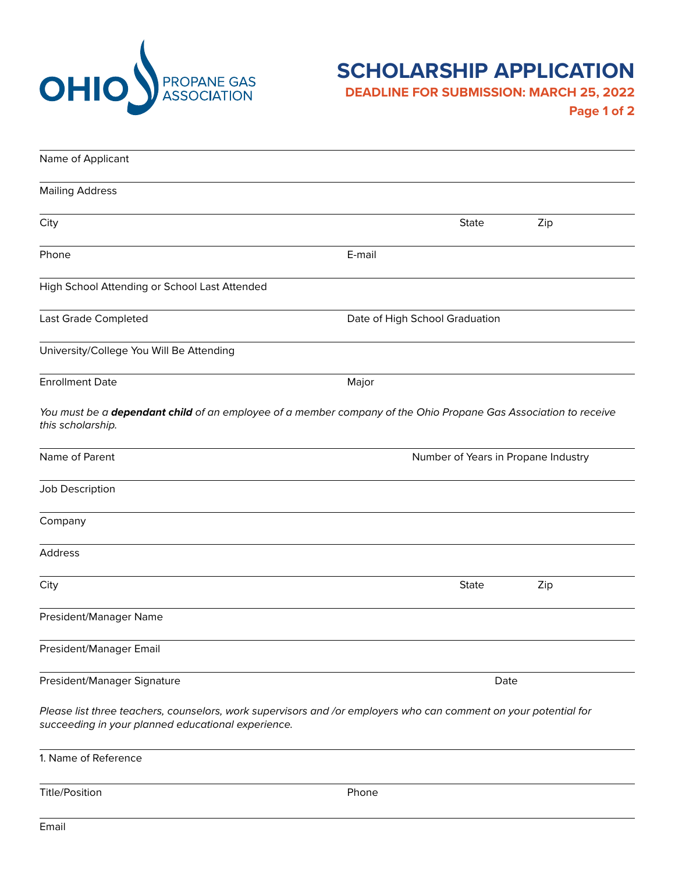

## **SCHOLARSHIP APPLICATION**

**DEADLINE FOR SUBMISSION: MARCH 25, 2022**

**Page 1 of 2**

| Name of Applicant                                                                                                                                                      |                                |                                     |     |  |
|------------------------------------------------------------------------------------------------------------------------------------------------------------------------|--------------------------------|-------------------------------------|-----|--|
| <b>Mailing Address</b>                                                                                                                                                 |                                |                                     |     |  |
| City                                                                                                                                                                   |                                | <b>State</b>                        | Zip |  |
| Phone                                                                                                                                                                  | E-mail                         |                                     |     |  |
| High School Attending or School Last Attended                                                                                                                          |                                |                                     |     |  |
| Last Grade Completed                                                                                                                                                   | Date of High School Graduation |                                     |     |  |
| University/College You Will Be Attending                                                                                                                               |                                |                                     |     |  |
| <b>Enrollment Date</b>                                                                                                                                                 | Major                          |                                     |     |  |
| You must be a dependant child of an employee of a member company of the Ohio Propane Gas Association to receive<br>this scholarship.                                   |                                |                                     |     |  |
| Name of Parent                                                                                                                                                         |                                | Number of Years in Propane Industry |     |  |
| Job Description                                                                                                                                                        |                                |                                     |     |  |
| Company                                                                                                                                                                |                                |                                     |     |  |
| Address                                                                                                                                                                |                                |                                     |     |  |
| City                                                                                                                                                                   |                                | <b>State</b>                        | Zip |  |
| President/Manager Name                                                                                                                                                 |                                |                                     |     |  |
| President/Manager Email                                                                                                                                                |                                |                                     |     |  |
| President/Manager Signature                                                                                                                                            |                                | Date                                |     |  |
| Please list three teachers, counselors, work supervisors and /or employers who can comment on your potential for<br>succeeding in your planned educational experience. |                                |                                     |     |  |
| 1. Name of Reference                                                                                                                                                   |                                |                                     |     |  |
| <b>Title/Position</b>                                                                                                                                                  | Phone                          |                                     |     |  |